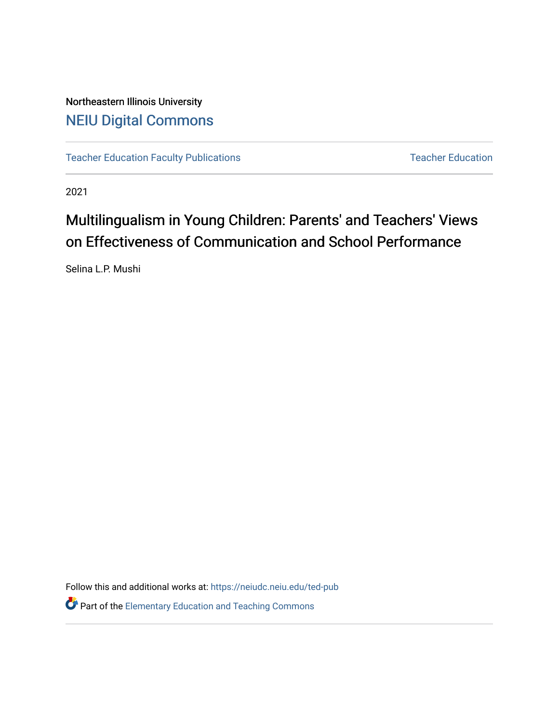## Northeastern Illinois University [NEIU Digital Commons](https://neiudc.neiu.edu/)

[Teacher Education Faculty Publications](https://neiudc.neiu.edu/ted-pub) [Teacher Education](https://neiudc.neiu.edu/ted) Teacher Education

2021

# Multilingualism in Young Children: Parents' and Teachers' Views on Effectiveness of Communication and School Performance

Selina L.P. Mushi

Follow this and additional works at: [https://neiudc.neiu.edu/ted-pub](https://neiudc.neiu.edu/ted-pub?utm_source=neiudc.neiu.edu%2Fted-pub%2F6&utm_medium=PDF&utm_campaign=PDFCoverPages)

**P** Part of the Elementary Education and Teaching Commons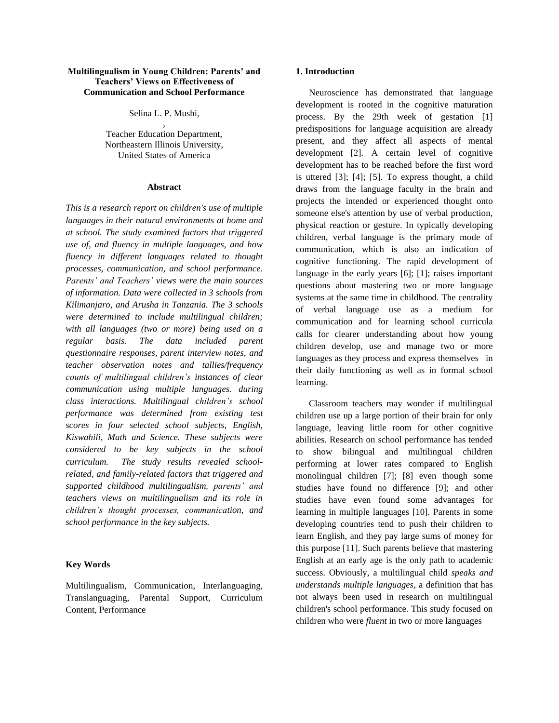## **Multilingualism in Young Children: Parents' and Teachers' Views on Effectiveness of Communication and School Performance**

Selina L. P. Mushi, ,

Teacher Education Department, Northeastern Illinois University, United States of America

## **Abstract**

*This is a research report on children's use of multiple languages in their natural environments at home and at school. The study examined factors that triggered use of, and fluency in multiple languages, and how fluency in different languages related to thought processes, communication, and school performance. Parents' and Teachers' views were the main sources of information. Data were collected in 3 schools from Kilimanjaro, and Arusha in Tanzania. The 3 schools were determined to include multilingual children; with all languages (two or more) being used on a regular basis. The data included parent questionnaire responses, parent interview notes, and teacher observation notes and tallies/frequency counts of multilingual children's instances of clear communication using multiple languages. during class interactions. Multilingual children's school performance was determined from existing test scores in four selected school subjects, English, Kiswahili, Math and Science. These subjects were considered to be key subjects in the school curriculum. The study results revealed schoolrelated, and family-related factors that triggered and supported childhood multilingualism, parents' and teachers views on multilingualism and its role in children's thought processes, communication, and school performance in the key subjects.*

## **Key Words**

Multilingualism, Communication, Interlanguaging, Translanguaging, Parental Support, Curriculum Content, Performance

## **1. Introduction**

Neuroscience has demonstrated that language development is rooted in the cognitive maturation process. By the 29th week of gestation [1] predispositions for language acquisition are already present, and they affect all aspects of mental development [2]. A certain level of cognitive development has to be reached before the first word is uttered [3]; [4]; [5]. To express thought, a child draws from the language faculty in the brain and projects the intended or experienced thought onto someone else's attention by use of verbal production, physical reaction or gesture. In typically developing children, verbal language is the primary mode of communication, which is also an indication of cognitive functioning. The rapid development of language in the early years [6]; [1]; raises important questions about mastering two or more language systems at the same time in childhood. The centrality of verbal language use as a medium for communication and for learning school curricula calls for clearer understanding about how young children develop, use and manage two or more languages as they process and express themselves in their daily functioning as well as in formal school learning.

Classroom teachers may wonder if multilingual children use up a large portion of their brain for only language, leaving little room for other cognitive abilities. Research on school performance has tended to show bilingual and multilingual children performing at lower rates compared to English monolingual children [7]; [8] even though some studies have found no difference [9]; and other studies have even found some advantages for learning in multiple languages [10]. Parents in some developing countries tend to push their children to learn English, and they pay large sums of money for this purpose [11]. Such parents believe that mastering English at an early age is the only path to academic success. Obviously, a multilingual child *speaks and understands multiple languages*, a definition that has not always been used in research on multilingual children's school performance. This study focused on children who were *fluent* in two or more languages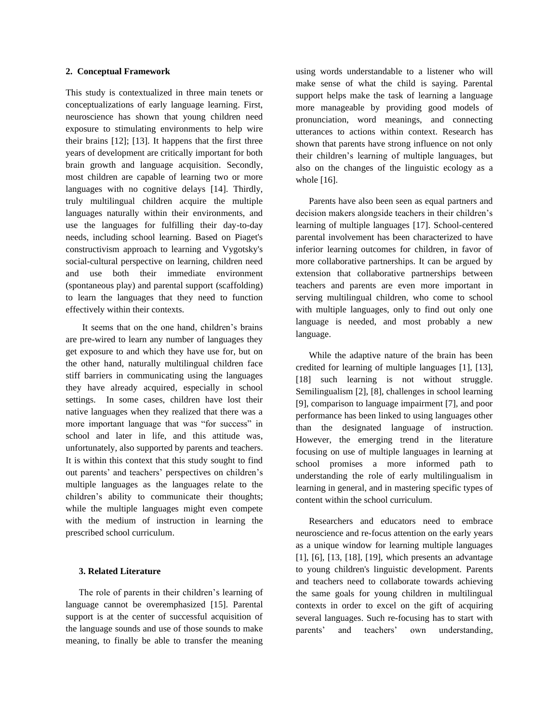## **2. Conceptual Framework**

This study is contextualized in three main tenets or conceptualizations of early language learning. First, neuroscience has shown that young children need exposure to stimulating environments to help wire their brains [12]; [13]. It happens that the first three years of development are critically important for both brain growth and language acquisition. Secondly, most children are capable of learning two or more languages with no cognitive delays [14]. Thirdly, truly multilingual children acquire the multiple languages naturally within their environments, and use the languages for fulfilling their day-to-day needs, including school learning. Based on Piaget's constructivism approach to learning and Vygotsky's social-cultural perspective on learning, children need and use both their immediate environment (spontaneous play) and parental support (scaffolding) to learn the languages that they need to function effectively within their contexts.

It seems that on the one hand, children's brains are pre-wired to learn any number of languages they get exposure to and which they have use for, but on the other hand, naturally multilingual children face stiff barriers in communicating using the languages they have already acquired, especially in school settings. In some cases, children have lost their native languages when they realized that there was a more important language that was "for success" in school and later in life, and this attitude was, unfortunately, also supported by parents and teachers. It is within this context that this study sought to find out parents' and teachers' perspectives on children's multiple languages as the languages relate to the children's ability to communicate their thoughts; while the multiple languages might even compete with the medium of instruction in learning the prescribed school curriculum.

## **3. Related Literature**

The role of parents in their children's learning of language cannot be overemphasized [15]. Parental support is at the center of successful acquisition of the language sounds and use of those sounds to make meaning, to finally be able to transfer the meaning

using words understandable to a listener who will make sense of what the child is saying. Parental support helps make the task of learning a language more manageable by providing good models of pronunciation, word meanings, and connecting utterances to actions within context. Research has shown that parents have strong influence on not only their children's learning of multiple languages, but also on the changes of the linguistic ecology as a whole [16].

Parents have also been seen as equal partners and decision makers alongside teachers in their children's learning of multiple languages [17]. School-centered parental involvement has been characterized to have inferior learning outcomes for children, in favor of more collaborative partnerships. It can be argued by extension that collaborative partnerships between teachers and parents are even more important in serving multilingual children, who come to school with multiple languages, only to find out only one language is needed, and most probably a new language.

While the adaptive nature of the brain has been credited for learning of multiple languages [1], [13], [18] such learning is not without struggle. Semilingualism [2], [8], challenges in school learning [9], comparison to language impairment [7], and poor performance has been linked to using languages other than the designated language of instruction. However, the emerging trend in the literature focusing on use of multiple languages in learning at school promises a more informed path to understanding the role of early multilingualism in learning in general, and in mastering specific types of content within the school curriculum.

Researchers and educators need to embrace neuroscience and re-focus attention on the early years as a unique window for learning multiple languages [1], [6], [13, [18], [19], which presents an advantage to young children's linguistic development. Parents and teachers need to collaborate towards achieving the same goals for young children in multilingual contexts in order to excel on the gift of acquiring several languages. Such re-focusing has to start with parents' and teachers' own understanding,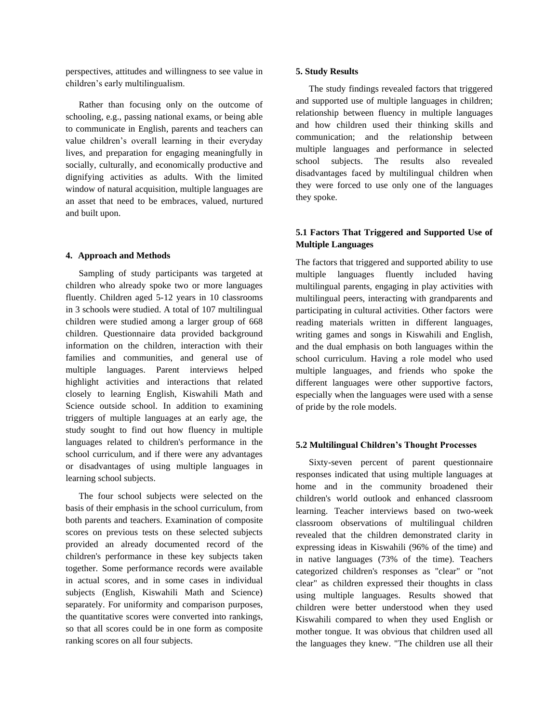perspectives, attitudes and willingness to see value in children's early multilingualism.

Rather than focusing only on the outcome of schooling, e.g., passing national exams, or being able to communicate in English, parents and teachers can value children's overall learning in their everyday lives, and preparation for engaging meaningfully in socially, culturally, and economically productive and dignifying activities as adults. With the limited window of natural acquisition, multiple languages are an asset that need to be embraces, valued, nurtured and built upon.

## **4. Approach and Methods**

Sampling of study participants was targeted at children who already spoke two or more languages fluently. Children aged 5-12 years in 10 classrooms in 3 schools were studied. A total of 107 multilingual children were studied among a larger group of 668 children. Questionnaire data provided background information on the children, interaction with their families and communities, and general use of multiple languages. Parent interviews helped highlight activities and interactions that related closely to learning English, Kiswahili Math and Science outside school. In addition to examining triggers of multiple languages at an early age, the study sought to find out how fluency in multiple languages related to children's performance in the school curriculum, and if there were any advantages or disadvantages of using multiple languages in learning school subjects.

The four school subjects were selected on the basis of their emphasis in the school curriculum, from both parents and teachers. Examination of composite scores on previous tests on these selected subjects provided an already documented record of the children's performance in these key subjects taken together. Some performance records were available in actual scores, and in some cases in individual subjects (English, Kiswahili Math and Science) separately. For uniformity and comparison purposes, the quantitative scores were converted into rankings, so that all scores could be in one form as composite ranking scores on all four subjects.

#### **5. Study Results**

The study findings revealed factors that triggered and supported use of multiple languages in children; relationship between fluency in multiple languages and how children used their thinking skills and communication; and the relationship between multiple languages and performance in selected school subjects. The results also revealed disadvantages faced by multilingual children when they were forced to use only one of the languages they spoke.

## **5.1 Factors That Triggered and Supported Use of Multiple Languages**

The factors that triggered and supported ability to use multiple languages fluently included having multilingual parents, engaging in play activities with multilingual peers, interacting with grandparents and participating in cultural activities. Other factors were reading materials written in different languages, writing games and songs in Kiswahili and English, and the dual emphasis on both languages within the school curriculum. Having a role model who used multiple languages, and friends who spoke the different languages were other supportive factors, especially when the languages were used with a sense of pride by the role models.

## **5.2 Multilingual Children's Thought Processes**

Sixty-seven percent of parent questionnaire responses indicated that using multiple languages at home and in the community broadened their children's world outlook and enhanced classroom learning. Teacher interviews based on two-week classroom observations of multilingual children revealed that the children demonstrated clarity in expressing ideas in Kiswahili (96% of the time) and in native languages (73% of the time). Teachers categorized children's responses as "clear" or "not clear" as children expressed their thoughts in class using multiple languages. Results showed that children were better understood when they used Kiswahili compared to when they used English or mother tongue. It was obvious that children used all the languages they knew. "The children use all their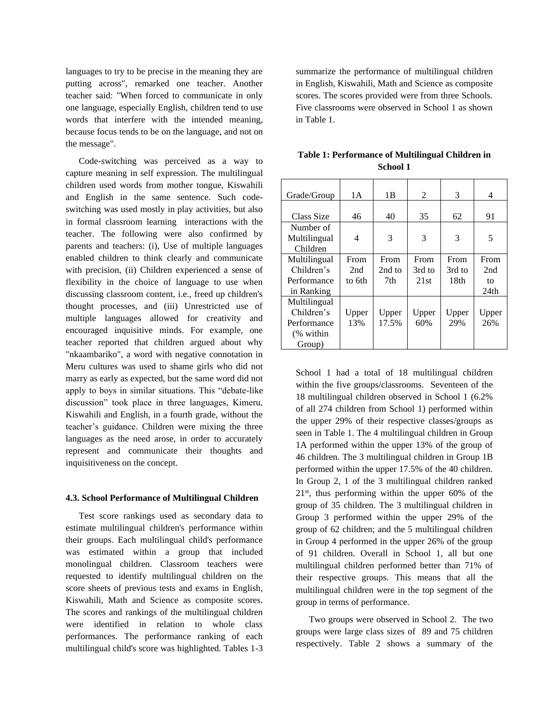languages to try to be precise in the meaning they are putting across", remarked one teacher. Another teacher said: "When forced to communicate in only one language, especially English, children tend to use words that interfere with the intended meaning, because focus tends to be on the language, and not on the message".

Code-switching was perceived as a way to capture meaning in self expression. The multilingual children used words from mother tongue, Kiswahili and English in the same sentence. Such codeswitching was used mostly in play activities, but also in formal classroom learning interactions with the teacher. The following were also confirmed by parents and teachers: (i), Use of multiple languages enabled children to think clearly and communicate with precision, (ii) Children experienced a sense of flexibility in the choice of language to use when discussing classroom content, i.e., freed up children's thought processes, and (iii) Unrestricted use of multiple languages allowed for creativity and encouraged inquisitive minds. For example, one teacher reported that children argued about why "nkaambariko", a word with negative connotation in Meru cultures was used to shame girls who did not marry as early as expected, but the same word did not apply to boys in similar situations. This "debate-like discussion" took place in three languages, Kimeru, Kiswahili and English, in a fourth grade, without the teacher's guidance. Children were mixing the three languages as the need arose, in order to accurately represent and communicate their thoughts and inquisitiveness on the concept.

**4.3. School Performance of Multilingual Children**

## Test score rankings used as secondary data to estimate multilingual children's performance within their groups. Each multilingual child's performance was estimated within a group that included monolingual children. Classroom teachers were requested to identify multilingual children on the score sheets of previous tests and exams in English, Kiswahili, Math and Science as composite scores. The scores and rankings of the multilingual children were identified in relation to whole class performances. The performance ranking of each multilingual child's score was highlighted. Tables 1-3

summarize the performance of multilingual children in English, Kiswahili, Math and Science as composite scores. The scores provided were from three Schools. Five classrooms were observed in School 1 as shown in Table 1.

| Grade/Group  | 1A     | 1B     | 2      | 3                | 4                |
|--------------|--------|--------|--------|------------------|------------------|
|              |        |        |        |                  |                  |
| Class Size   | 46     | 40     | 35     | 62               | 91               |
| Number of    |        |        |        |                  |                  |
| Multilingual | 4      | 3      | 3      | 3                | 5                |
| Children     |        |        |        |                  |                  |
| Multilingual | From   | From   | From   | From             | From             |
| Children's   | 2nd    | 2nd to | 3rd to | 3rd to           | 2nd              |
| Performance  | to 6th | 7th    | 21st   | 18 <sub>th</sub> | to               |
| in Ranking   |        |        |        |                  | 24 <sub>th</sub> |
| Multilingual |        |        |        |                  |                  |
| Children's   | Upper  | Upper  | Upper  | Upper            | Upper            |
| Performance  | 13%    | 17.5%  | 60%    | 29%              | 26%              |
| (% within    |        |        |        |                  |                  |
| Group)       |        |        |        |                  |                  |

**Table 1: Performance of Multilingual Children in School 1**

School 1 had a total of 18 multilingual children within the five groups/classrooms. Seventeen of the 18 multilingual children observed in School 1 (6.2% of all 274 children from School 1) performed within the upper 29% of their respective classes/groups as seen in Table 1. The 4 multilingual children in Group 1A performed within the upper 13% of the group of 46 children. The 3 multilingual children in Group 1B performed within the upper 17.5% of the 40 children. In Group 2, 1 of the 3 multilingual children ranked 21st, thus performing within the upper 60% of the group of 35 children. The 3 multilingual children in Group 3 performed within the upper 29% of the group of 62 children; and the 5 multilingual children in Group 4 performed in the upper 26% of the group of 91 children. Overall in School 1, all but one multilingual children performed better than 71% of their respective groups. This means that all the multilingual children were in the top segment of the group in terms of performance.

Two groups were observed in School 2. The two groups were large class sizes of 89 and 75 children respectively. Table 2 shows a summary of the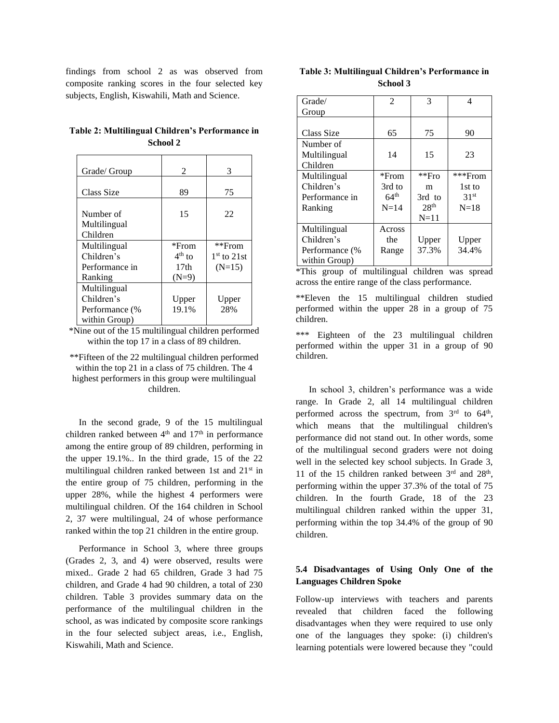findings from school 2 as was observed from composite ranking scores in the four selected key subjects, English, Kiswahili, Math and Science.

**Table 2: Multilingual Children's Performance in School 2**

| Grade/ Group                                                  | 2                                                          | 3                                     |
|---------------------------------------------------------------|------------------------------------------------------------|---------------------------------------|
| Class Size                                                    | 89                                                         | 75                                    |
| Number of<br>Multilingual<br>Children                         | 15                                                         | 22                                    |
| Multilingual<br>Children's<br>Performance in<br>Ranking       | *From<br>$4^{\text{th}}$ to<br>17 <sub>th</sub><br>$(N=9)$ | **From<br>$1st$ to $21st$<br>$(N=15)$ |
| Multilingual<br>Children's<br>Performance (%<br>within Group) | Upper<br>19.1%                                             | Upper<br>28%                          |

\*Nine out of the 15 multilingual children performed within the top 17 in a class of 89 children.

\*\*Fifteen of the 22 multilingual children performed within the top 21 in a class of 75 children. The 4 highest performers in this group were multilingual children.

In the second grade, 9 of the 15 multilingual children ranked between  $4<sup>th</sup>$  and  $17<sup>th</sup>$  in performance among the entire group of 89 children, performing in the upper 19.1%.. In the third grade, 15 of the 22 multilingual children ranked between 1st and  $21<sup>st</sup>$  in the entire group of 75 children, performing in the upper 28%, while the highest 4 performers were multilingual children. Of the 164 children in School 2, 37 were multilingual, 24 of whose performance ranked within the top 21 children in the entire group.

Performance in School 3, where three groups (Grades 2, 3, and 4) were observed, results were mixed.. Grade 2 had 65 children, Grade 3 had 75 children, and Grade 4 had 90 children, a total of 230 children. Table 3 provides summary data on the performance of the multilingual children in the school, as was indicated by composite score rankings in the four selected subject areas, i.e., English, Kiswahili, Math and Science.

| Table 3: Multilingual Children's Performance in |
|-------------------------------------------------|
| <b>School 3</b>                                 |

| Grade/         | 2                | 3                | 4                |
|----------------|------------------|------------------|------------------|
| Group          |                  |                  |                  |
|                |                  |                  |                  |
| Class Size     | 65               | 75               | 90               |
| Number of      |                  |                  |                  |
| Multilingual   | 14               | 15               | 23               |
| Children       |                  |                  |                  |
| Multilingual   | $*$ From         | $*$ $Fr0$        | ***From          |
| Children's     | 3rd to           | m                | 1st to           |
| Performance in | $64^{\text{th}}$ | 3rd to           | 31 <sup>st</sup> |
| Ranking        | $N=14$           | 28 <sup>th</sup> | $N=18$           |
|                |                  | $N=11$           |                  |
| Multilingual   | Across           |                  |                  |
| Children's     | the              | Upper            | Upper            |
| Performance (% | Range            | 37.3%            | 34.4%            |
| within Group)  |                  |                  |                  |

\*This group of multilingual children was spread across the entire range of the class performance.

\*\*Eleven the 15 multilingual children studied performed within the upper 28 in a group of 75 children.

\*\*\* Eighteen of the 23 multilingual children performed within the upper 31 in a group of 90 children.

In school 3, children's performance was a wide range. In Grade 2, all 14 multilingual children performed across the spectrum, from  $3<sup>rd</sup>$  to  $64<sup>th</sup>$ , which means that the multilingual children's performance did not stand out. In other words, some of the multilingual second graders were not doing well in the selected key school subjects. In Grade 3, 11 of the 15 children ranked between  $3<sup>rd</sup>$  and  $28<sup>th</sup>$ , performing within the upper 37.3% of the total of 75 children. In the fourth Grade, 18 of the 23 multilingual children ranked within the upper 31, performing within the top 34.4% of the group of 90 children.

## **5.4 Disadvantages of Using Only One of the Languages Children Spoke**

Follow-up interviews with teachers and parents revealed that children faced the following disadvantages when they were required to use only one of the languages they spoke: (i) children's learning potentials were lowered because they "could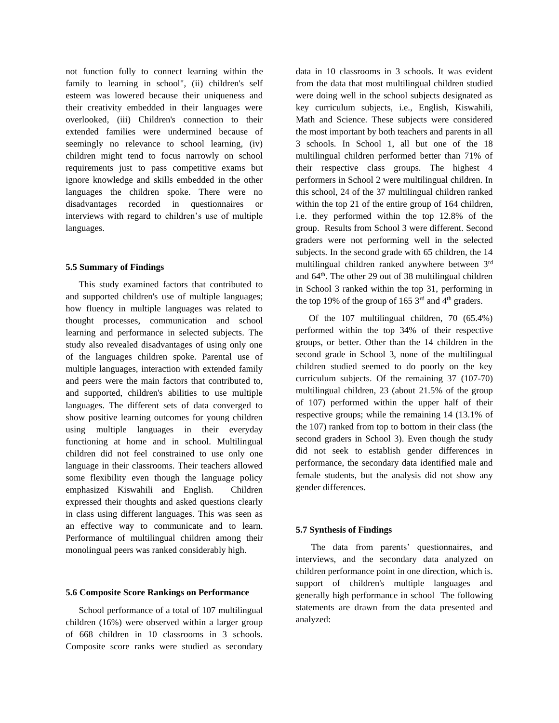not function fully to connect learning within the family to learning in school", (ii) children's self esteem was lowered because their uniqueness and their creativity embedded in their languages were overlooked, (iii) Children's connection to their extended families were undermined because of seemingly no relevance to school learning, (iv) children might tend to focus narrowly on school requirements just to pass competitive exams but ignore knowledge and skills embedded in the other languages the children spoke. There were no disadvantages recorded in questionnaires or interviews with regard to children's use of multiple languages.

## **5.5 Summary of Findings**

This study examined factors that contributed to and supported children's use of multiple languages; how fluency in multiple languages was related to thought processes, communication and school learning and performance in selected subjects. The study also revealed disadvantages of using only one of the languages children spoke. Parental use of multiple languages, interaction with extended family and peers were the main factors that contributed to, and supported, children's abilities to use multiple languages. The different sets of data converged to show positive learning outcomes for young children using multiple languages in their everyday functioning at home and in school. Multilingual children did not feel constrained to use only one language in their classrooms. Their teachers allowed some flexibility even though the language policy emphasized Kiswahili and English. Children expressed their thoughts and asked questions clearly in class using different languages. This was seen as an effective way to communicate and to learn. Performance of multilingual children among their monolingual peers was ranked considerably high.

#### **5.6 Composite Score Rankings on Performance**

School performance of a total of 107 multilingual children (16%) were observed within a larger group of 668 children in 10 classrooms in 3 schools. Composite score ranks were studied as secondary

data in 10 classrooms in 3 schools. It was evident from the data that most multilingual children studied were doing well in the school subjects designated as key curriculum subjects, i.e., English, Kiswahili, Math and Science. These subjects were considered the most important by both teachers and parents in all 3 schools. In School 1, all but one of the 18 multilingual children performed better than 71% of their respective class groups. The highest 4 performers in School 2 were multilingual children. In this school, 24 of the 37 multilingual children ranked within the top 21 of the entire group of 164 children, i.e. they performed within the top 12.8% of the group. Results from School 3 were different. Second graders were not performing well in the selected subjects. In the second grade with 65 children, the 14 multilingual children ranked anywhere between 3rd and 64th. The other 29 out of 38 multilingual children in School 3 ranked within the top 31, performing in the top 19% of the group of 165  $3<sup>rd</sup>$  and 4<sup>th</sup> graders.

Of the 107 multilingual children, 70 (65.4%) performed within the top 34% of their respective groups, or better. Other than the 14 children in the second grade in School 3, none of the multilingual children studied seemed to do poorly on the key curriculum subjects. Of the remaining 37 (107-70) multilingual children, 23 (about 21.5% of the group of 107) performed within the upper half of their respective groups; while the remaining 14 (13.1% of the 107) ranked from top to bottom in their class (the second graders in School 3). Even though the study did not seek to establish gender differences in performance, the secondary data identified male and female students, but the analysis did not show any gender differences.

#### **5.7 Synthesis of Findings**

The data from parents' questionnaires, and interviews, and the secondary data analyzed on children performance point in one direction, which is. support of children's multiple languages and generally high performance in school The following statements are drawn from the data presented and analyzed: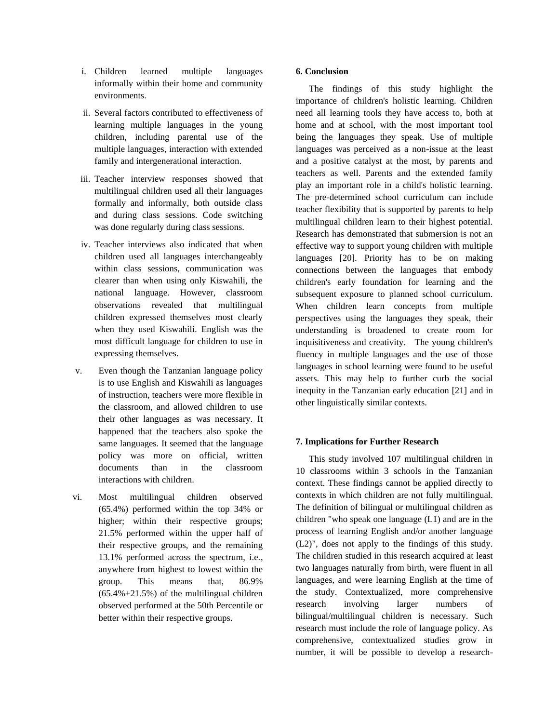- i. Children learned multiple languages informally within their home and community environments.
- ii. Several factors contributed to effectiveness of learning multiple languages in the young children, including parental use of the multiple languages, interaction with extended family and intergenerational interaction.
- iii. Teacher interview responses showed that multilingual children used all their languages formally and informally, both outside class and during class sessions. Code switching was done regularly during class sessions.
- iv. Teacher interviews also indicated that when children used all languages interchangeably within class sessions, communication was clearer than when using only Kiswahili, the national language. However, classroom observations revealed that multilingual children expressed themselves most clearly when they used Kiswahili. English was the most difficult language for children to use in expressing themselves.
- v. Even though the Tanzanian language policy is to use English and Kiswahili as languages of instruction, teachers were more flexible in the classroom, and allowed children to use their other languages as was necessary. It happened that the teachers also spoke the same languages. It seemed that the language policy was more on official, written documents than in the classroom interactions with children.
- vi. Most multilingual children observed (65.4%) performed within the top 34% or higher; within their respective groups; 21.5% performed within the upper half of their respective groups, and the remaining 13.1% performed across the spectrum, i.e., anywhere from highest to lowest within the group. This means that, 86.9%  $(65.4\% + 21.5\%)$  of the multilingual children observed performed at the 50th Percentile or better within their respective groups.

## **6. Conclusion**

The findings of this study highlight the importance of children's holistic learning. Children need all learning tools they have access to, both at home and at school, with the most important tool being the languages they speak. Use of multiple languages was perceived as a non-issue at the least and a positive catalyst at the most, by parents and teachers as well. Parents and the extended family play an important role in a child's holistic learning. The pre-determined school curriculum can include teacher flexibility that is supported by parents to help multilingual children learn to their highest potential. Research has demonstrated that submersion is not an effective way to support young children with multiple languages [20]. Priority has to be on making connections between the languages that embody children's early foundation for learning and the subsequent exposure to planned school curriculum. When children learn concepts from multiple perspectives using the languages they speak, their understanding is broadened to create room for inquisitiveness and creativity. The young children's fluency in multiple languages and the use of those languages in school learning were found to be useful assets. This may help to further curb the social inequity in the Tanzanian early education [21] and in other linguistically similar contexts.

## **7. Implications for Further Research**

This study involved 107 multilingual children in 10 classrooms within 3 schools in the Tanzanian context. These findings cannot be applied directly to contexts in which children are not fully multilingual. The definition of bilingual or multilingual children as children "who speak one language (L1) and are in the process of learning English and/or another language (L2)", does not apply to the findings of this study. The children studied in this research acquired at least two languages naturally from birth, were fluent in all languages, and were learning English at the time of the study. Contextualized, more comprehensive research involving larger numbers of bilingual/multilingual children is necessary. Such research must include the role of language policy. As comprehensive, contextualized studies grow in number, it will be possible to develop a research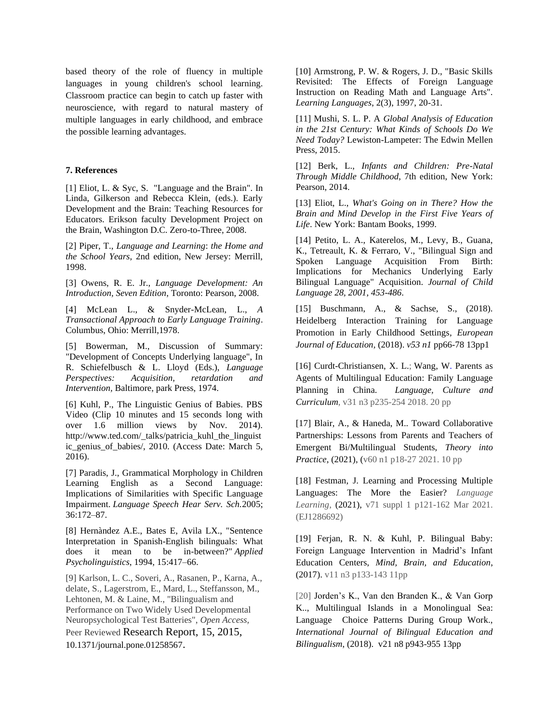based theory of the role of fluency in multiple languages in young children's school learning. Classroom practice can begin to catch up faster with neuroscience, with regard to natural mastery of multiple languages in early childhood, and embrace the possible learning advantages.

## **7. References**

[1] Eliot, L. & Syc, S. "Language and the Brain". In Linda, Gilkerson and Rebecca Klein, (eds.). Early Development and the Brain: Teaching Resources for Educators. Erikson faculty Development Project on the Brain, Washington D.C. Zero-to-Three, 2008.

[2] Piper, T., *Language and Learning*: *the Home and the School Years*, 2nd edition, New Jersey: Merrill, 1998.

[3] Owens, R. E. Jr., *Language Development: An Introduction, Seven Edition*, Toronto: Pearson, 2008.

[4] McLean L., & Snyder-McLean, L., *A Transactional Approach to Early Language Training*. Columbus, Ohio: Merrill,1978.

[5] Bowerman, M., Discussion of Summary: "Development of Concepts Underlying language", In R. Schiefelbusch & L. Lloyd (Eds.), *Language Perspectives: Acquisition, retardation and Intervention,* Baltimore, park Press, 1974.

[6] Kuhl, P., The Linguistic Genius of Babies. PBS Video (Clip 10 minutes and 15 seconds long with over 1.6 million views by Nov. 2014). http://www.ted.com/\_talks/patricia\_kuhl\_the\_linguist ic\_genius\_of\_babies/, 2010. (Access Date: March 5, 2016).

[7] Paradis, J., Grammatical Morphology in Children Learning English as a Second Language: Implications of Similarities with Specific Language Impairment. *Language Speech Hear Serv. Sch.*2005; 36:172–87.

[8] Hernàndez A.E., Bates E, Avila LX., "Sentence Interpretation in Spanish-English bilinguals: What does it mean to be in-between?" *Applied Psycholinguistics*, 1994, 15:417–66.

[9] Karlson, L. C., Soveri, A., Rasanen, P., Karna, A., delate, S., Lagerstrom, E., Mard, L., Steffansson, M., Lehtonen, M. & Laine, M., "Bilingualism and Performance on Two Widely Used Developmental Neuropsychological Test Batteries", *Open Access,* Peer Reviewed Research Report, 15, 2015, 10.1371/journal.pone.01258567.

[10] Armstrong, P. W. & Rogers, J. D., "Basic Skills Revisited: The Effects of Foreign Language Instruction on Reading Math and Language Arts". *Learning Languages*, 2(3), 1997, 20-31.

[11] Mushi, S. L. P. A *Global Analysis of Education in the 21st Century: What Kinds of Schools Do We Need Today?* Lewiston-Lampeter: The Edwin Mellen Press, 2015.

[12] Berk, L., *Infants and Children: Pre-Natal Through Middle Childhood*, 7th edition, New York: Pearson, 2014.

[13] Eliot, L., *What's Going on in There? How the Brain and Mind Develop in the First Five Years of Life*. New York: Bantam Books, 1999.

[14] Petito, L. A., Katerelos, M., Levy, B., Guana, K., Tetreault, K. & Ferraro, V., "Bilingual Sign and Spoken Language Acquisition From Birth: Implications for Mechanics Underlying Early Bilingual Language" Acquisition. *Journal of Child Language 28, 2001, 453-486*.

[15] Buschmann, A., & Sachse, S., (2018). Heidelberg Interaction Training for Language Promotion in Early Childhood Settings*, European Journal of Education,* (2018). *v53 n1* pp66-78 13pp1

[16] Curdt-Christiansen, X. L.; [Wang,](javascript:__doLinkPostBack() W. Parents as Agents of Multilingual Education: Family Language Planning in China. *[Language,](javascript:__doLinkPostBack() Culture and [Curriculum](javascript:__doLinkPostBack()*, v31 n3 p235-254 2018. 20 pp

[17] Blair, A., & Haneda, M.. Toward Collaborative Partnerships: Lessons from Parents and Teachers of Emergent Bi/Multilingual Students, *Theory into Practice*, (2021), (v60 n1 p18-27 2021. 10 pp

[18] Festman, J. Learning and Processing Multiple Languages: The More the Easier? *Language Learning*, (2021), v71 suppl 1 p121-162 Mar 2021. (EJ1286692)

[19] Ferjan, R. N. & Kuhl, P. Bilingual Baby: Foreign Language Intervention in Madrid's Infant Education Centers, *Mind, Brain, and Education*, (2017). v11 n3 p133-143 11pp

[20] Jorden's K., Van den Branden K., & Van Gorp K.., Multilingual Islands in a Monolingual Sea: Language Choice Patterns During Group Work., *International Journal of Bilingual Education and Bilingualism*, (2018). v21 n8 p943-955 13pp